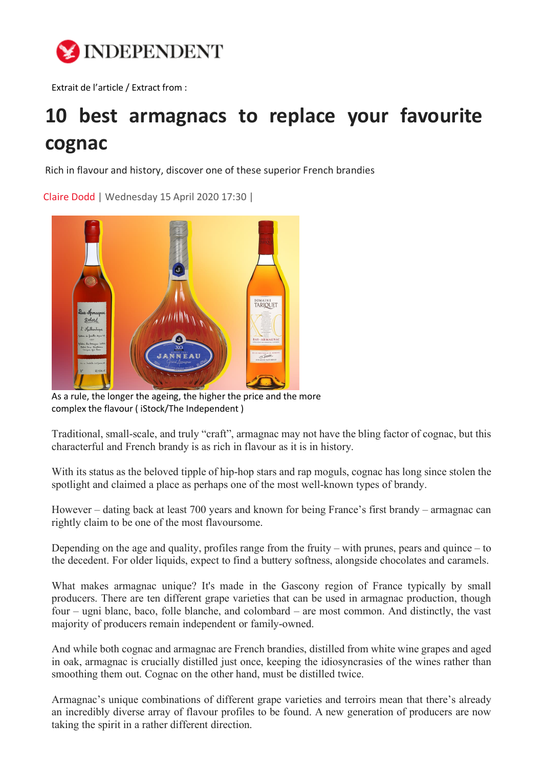

Extrait de l'article / Extract from :

## **10 best armagnacs to replace your favourite cognac**

Rich in flavour and history, discover one of these superior French brandies

[Claire Dodd](https://www.independent.co.uk/author/claire-dodd) | Wednesday 15 April 2020 17:30 |



As a rule, the longer the ageing, the higher the price and the more complex the flavour ( iStock/The Independent )

Traditional, small-scale, and truly "craft", armagnac may not have the bling factor of cognac, but this characterful and French brandy is as rich in flavour as it is in history.

With its status as the beloved tipple of hip-hop stars and rap moguls, cognac has long since stolen the spotlight and claimed a place as perhaps one of the most well-known types of brandy.

However – dating back at least 700 years and known for being France's first brandy – armagnac can rightly claim to be one of the most flavoursome.

Depending on the age and quality, profiles range from the fruity – with prunes, pears and quince – to the decedent. For older liquids, expect to find a buttery softness, alongside chocolates and caramels.

What makes armagnac unique? It's made in the Gascony region of France typically by small producers. There are ten different grape varieties that can be used in armagnac production, though four – ugni blanc, baco, folle blanche, and colombard – are most common. And distinctly, the vast majority of producers remain independent or family-owned.

And while both cognac and armagnac are French brandies, distilled from white wine grapes and aged in oak, armagnac is crucially distilled just once, keeping the idiosyncrasies of the wines rather than smoothing them out. Cognac on the other hand, must be distilled twice.

Armagnac's unique combinations of different grape varieties and terroirs mean that there's already an incredibly diverse array of flavour profiles to be found. A new generation of producers are now taking the spirit in a rather different direction.